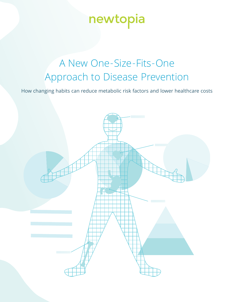# newtopia

## A New One-Size-Fits-One Approach to Disease Prevention

How changing habits can reduce metabolic risk factors and lower healthcare costs

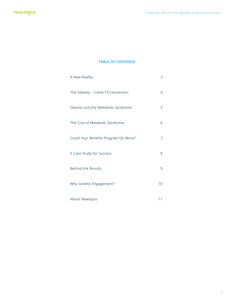#### **TABLE OF CONTENTS**

| A New Reality                        | 3  |
|--------------------------------------|----|
| The Obesity - Covid-19 Connection    | 4  |
| Obesity and the Metabolic Syndrome   | 5  |
| The Cost of Metabolic Syndrome       | 6  |
| Could Your Benefits Program Do More? | 7  |
| A Case Study for Success             | 8  |
| <b>Behind the Results</b>            | 9  |
| Why Genetic Engagement?              | 10 |
| About Newtopia                       | 11 |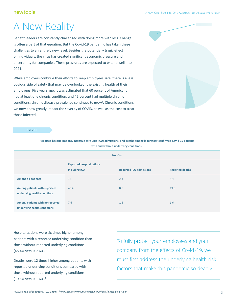#### newtopia

### A New Reality

Benefit leaders are constantly challenged with doing more with less. Change is often a part of that equation. But the Covid-19 pandemic has taken these challenges to an entirely new level. Besides the potentially tragic effect on individuals, the virus has created significant economic pressure and uncertainty for companies. These pressures are expected to extend well into 2021.

While employers continue their efforts to keep employees safe, there is a less obvious side of safety that may be overlooked: the existing health of their employees. Five years ago, it was estimated that 60 percent of Americans had at least one chronic condition, and 42 percent had multiple chronic conditions; chronic disease prevalence continues to grow<sup>1</sup>. Chronic conditions we now know greatly impact the severity of COVID, as well as the cost to treat those infected.



**REPORT**

| with and without underlying conditions.                         |                                                   |                                |                        |  |
|-----------------------------------------------------------------|---------------------------------------------------|--------------------------------|------------------------|--|
| No. (%)                                                         |                                                   |                                |                        |  |
|                                                                 | <b>Reported hospitalizations</b><br>including ICU | <b>Reported ICU admissions</b> | <b>Reported deaths</b> |  |
| <b>Among all patients</b>                                       | 14                                                | 2.3                            | 5.4                    |  |
| Among patients with reported<br>underlying health conditions    | 45.4                                              | 8.5                            | 19.5                   |  |
| Among patients with no reported<br>underlying health conditions | 7.6                                               | 1.5                            | 1.6                    |  |

**Reported hospitalizations, intensive care unit (ICU) admissions, and deaths among laboratory-confirmed Covid-19 patients** 

Hospitalizations were six times higher among patients with a reported underlying condition than those without reported underlying conditions (45.4% versus 7.6%)

Deaths were 12 times higher among patients with reported underlying conditions compared with those without reported underlying conditions (19.5% versus 1.6%)<sup>2</sup>.

To fully protect your employees and your company from the effects of Covid-19, we must first address the underlying health risk factors that make this pandemic so deadly.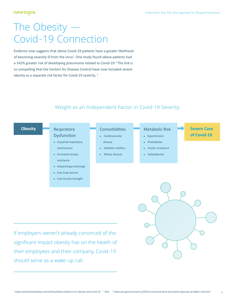### The Obesity — Covid-19 Connection

Evidence now suggests that obese Covid-19 patients have a greater likelihood of becoming severely ill from the virus<sup>3</sup>. One study found obese patients had a 142% greater risk of developing pneumonia related to Covid-19.<sup>4</sup> The link is so compelling that the Centers for Disease Control have now included severe obesity as a separate risk factor for Covid-19 severity. <sup>5</sup>



### Weight as an Independent Factor in Covid-19 Severity

If employers weren't already convinced of the significant impact obesity has on the health of their employees and their company, Covid-19 should serve as a wake-up call.



4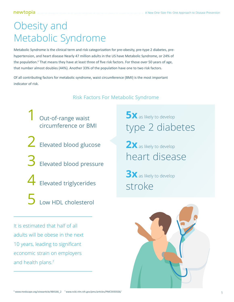### Obesity and Metabolic Syndrome

Metabolic Syndrome is the clinical term and risk categorization for pre-obesity, pre-type 2 diabetes, prehypertension, and heart disease Nearly 47 million adults in the US have Metabolic Syndrome, or 24% of the population.<sup>6</sup> That means they have at least three of five risk factors. For those over 50 years of age, that number almost doubles (44%). Another 33% of the population have one to two risk factors.

Of all contributing factors for metabolic syndrome, waist circumference (BMI) is the most important indicator of risk.

#### Risk Factors For Metabolic Syndrome

Out-of-range waist circumference or BMI

- $\sum$  Elevated blood glucose
- $\mathbf 3$  Elevated blood pressure
- 4 Elevated triglycerides
	- 5 Low HDL cholesterol

It is estimated that half of all adults will be obese in the next 10 years, leading to significant economic strain on employers and health plans.<sup>7</sup>

**5X** as likely to develop type 2 diabetes

2**X** as likely to develop heart disease

**3X** as likely to develop stroke

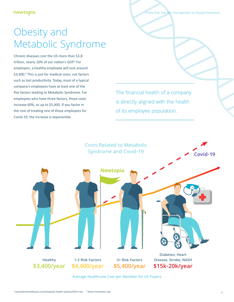A New One-Size-Fits-One Approach to Disease Prevention

### Obesity and Metabolic Syndrome

Chronic diseases cost the US more than \$3.8 trillion, nearly 20% of our nation's GDP.<sup>8</sup> For employers, a healthy employee will cost around \$3,400.<sup>9</sup> This is just for medical costs, not factors such as lost productivity. Today, most of a typical company's employees have at least one of the five factors leading to Metabolic Syndrome. For employees who have three factors, those costs increase 60%, or up to \$5,400. If you factor in the cost of treating one of these employees for Covid-19, the increase is exponential.

The financial health of a company is directly aligned with the health of its employee population.

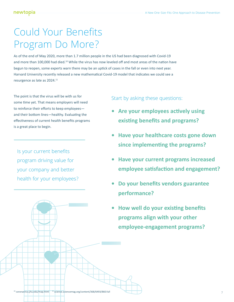## Could Your Benefits Program Do More?

As of the end of May 2020, more than 1.7 million people in the US had been diagnosed with Covid-19 and more than 100,000 had died.<sup>10</sup> While the virus has now leveled off and most areas of the nation have begun to reopen, some experts warn there may be an uptick of cases in the fall or even into next year. Harvard University recently released a new mathematical Covid-19 model that indicates we could see a resurgence as late as 2024.<sup>11</sup>

The point is that the virus will be with us for some time yet. That means employers will need to reinforce their efforts to keep employees and their bottom lines—healthy. Evaluating the effectiveness of current health benefits programs is a great place to begin.

Is your current benefits program driving value for your company and better health for your employees?

#### Start by asking these questions:

- **• Are your employees actively using existing benefits and programs?**
- **• Have your healthcare costs gone down since implementing the programs?**
- **• Have your current programs increased employee satisfaction and engagement?**
- **• Do your benefits vendors guarantee performance?**
- **• How well do your existing benefits programs align with your other employee-engagement programs?**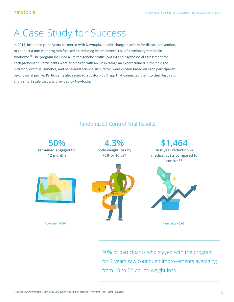### A Case Study for Success

In 2015, insurance giant Aetna partnered with Newtopia, a habit-change platform for disease prevention, to conduct a one-year program focused on reducing its employees' risk of developing metabolic syndrome.<sup>12</sup> The program included a limited genetic profile (opt in) and psychosocial assessment for each participant. Participants were also paired with an "Inspirator," an expert trained in the fields of nutrition, exercise, genetics, and behavioral science. Inspirators were chosen based on each participant's psychosocial profile. Participants also received a custom-built app that connected them to their Inspirator and a smart scale that was provided by Newtopia.



90% of participants who stayed with the program for 2 years saw continued improvements averaging from 10 to 22 pound weight loss.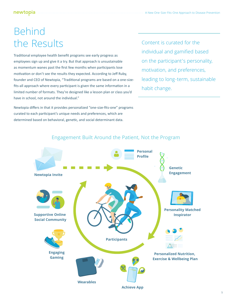#### newtopia

### Behind the Results

Traditional employee health benefit programs see early progress as employees sign up and give it a try. But that approach is unsustainable as momentum wanes past the first few months when participants lose motivation or don't see the results they expected. According to Jeff Ruby, founder and CEO of Newtopia, "Traditional programs are based on a one-sizefits-all approach where every participant is given the same information in a limited number of formats. They're designed like a lesson plan or class you'd have in school, not around the individual."

Newtopia differs in that it provides personalized "one-size-fits-one" programs curated to each participant's unique needs and preferences, which are determined based on behavioral, genetic, and social determinant data.

Content is curated for the individual and gamified based on the participant's personality, motivation, and preferences, leading to long-term, sustainable habit change.



#### Engagement Built Around the Patient, Not the Program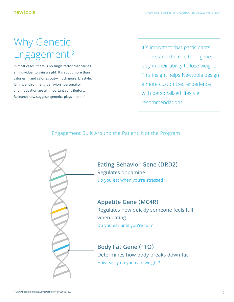## Why Genetic Engagement?

In most cases, there is no single factor that causes an individual to gain weight. It's about more than calories in and calories out—much more. Lifestyle, family, environment, behaviors, personality, and motivation are all important contributors. Research now suggests genetics plays a role.<sup>13</sup>

It's important that participants understand the role their genes play in their ability to lose weight. This insight helps Newtopia design a more customized experience with personalized lifestyle recommendations.

### Engagement Built Around the Patient, Not the Program